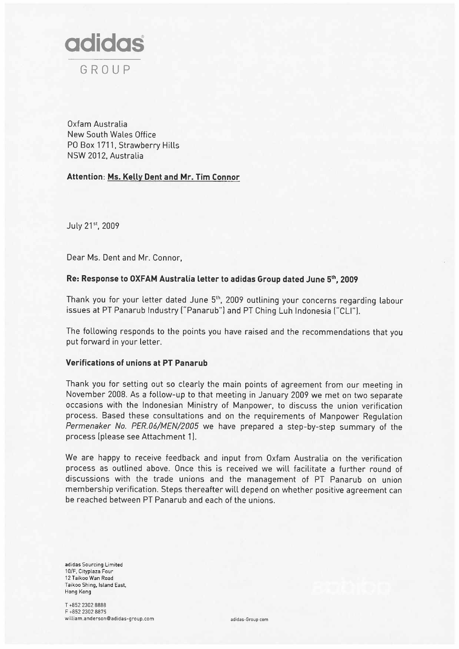

Oxfam Australia New South Wales Office PO Box 1711, Strawberry Hills NSW 2012, Australia

# Attention: Ms. Kelly Dent and Mr. Tim Connor

July 21st, 2009

Dear Ms. Dent and Mr. Connor,

## Re: Response to OXFAM Australia letter to adidas Group dated June 5th, 2009

Thank you for your letter dated June 5<sup>th</sup>, 2009 outlining your concerns regarding labour issues at PT Panarub Industry ("Panarub") and PT Ching Luh Indonesia ("CLI").

The following responds to the points you have raised and the recommendations that you put forward in your letter.

### Verifications of unions at PT Panarub

Thank you for setting out so clearly the main points of agreement from our meeting in November 2008. As a follow-up to that meeting in January 2009 we met on two separate occasions with the Indonesian Ministry of Manpower, to discuss the union verification process. Based these consultations and on the requirements of Manpower Regulation Permenaker No. PER.06/MEN/2005 we have prepared a step-by-step summary of the process (please see Attachment 1).

We are happy to receive feedback and input from Oxfam Australia on the verification process as outlined above. Once this is received we will facilitate a further round of discussions with the trade unions and the management of PT Panarub on union membership verification. Steps thereafter will depend on whether positive agreement can be reached between PT Panarub and each of the unions.

adidas Sourcing Limited 10/F, Cityplaza Four 12 Taikoo Wan Road Taikoo Shing, Island East, Hong Kong

T +852 2302 8888 F +852 2302 8875 william.anderson@adidas-group.com adidas-group.com adidas-Group.com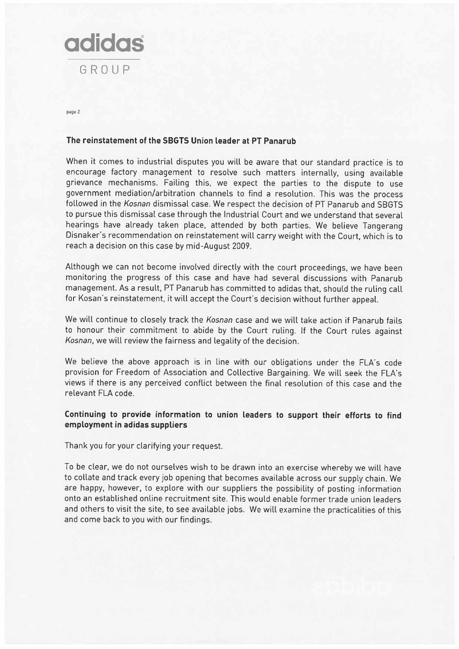

page 2

### The reinstatement of the SBGTS Union leader at PT Panarub

When it comes to industrial disputes you will be aware that our standard practice is to encourage factory management to resolve such matters internally, using available grievance mechanisms. Failing this, we expect the parties to the dispute to use government mediation/arbitration channels to find a resolution. This was the process followed in the Kosnan dismissal case. We respect the decision of PT Panarub and SBGTS to pursue this dismissal case through the Industrial Court and we understand that several hearings have already taken place, attended by both parties. We believe Tangerang Disnaker's recommendation on reinstatement will carry weight with the Court, which is to reach a decision on this case by mid-August 2009.

Although we can not become involved directly with the court proceedings, we have been monitoring the progress of this case and have had several discussions with Panarub management. As a result, PT Panarub has committed to adidas that, should the ruling call for Kosan's reinstatement, it will accept the Court's decision without further appeaL.

We will continue to closely track the Kosnan case and we will take action if Panarub fails to honour their commitment to abide by the Court ruling. If the Court rules against Kosnan, we will review the fairness and legality of the decision.

We believe the above approach is in line with our obligations under the FLA's code provision for Freedom of Association and Collective Bargaining. We will seek the FLA's views if there is any perceived conflict between the final resolution of this case and the relevant FLA code.

## Continuing to provide information to union leaders to support their efforts to find employment in adidas suppliers

Thank you for your clarifying your request.

To be clear, we do not ourselves wish to be drawn into an exercise whereby we will have to collate and track every job opening that becomes available across our supply chain. We are happy, however, to explore with our suppliers the possibility of posting information onto an established online recruitment site. This would enable former trade union leaders and others to visit the site, to see available jobs. We will examine the practicalities of this and come back to you with our findings.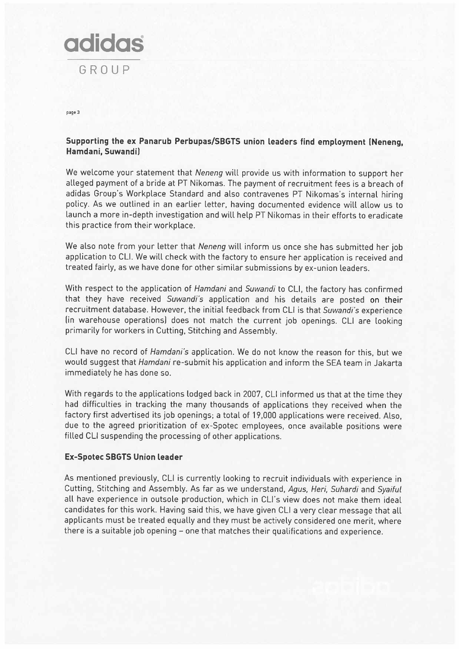

page 3

# Supporting the ex Panarub Perbupas/SBGTS union leaders find employment (Neneng, Hamdani, suwandiJ

We welcome your statement that Neneng will provide us with information to support her alleged payment of a bride at PT Nikomas. The payment of recruitment fees is a breach of adidas Group's Workplace Standard and also contravenes PT Nikomas's internal hiring policy. As we outlined in an earlier letter, having documented evidence will allow us to launch a more in-depth investigation and will help PT Nikomas in their efforts to eradicate this practice from their workplace.

We also note from your letter that Neneng will inform us once she has submitted her job application to CLI. We will check with the factory to ensure her application is received and treated fairly, as we have done for other similar submissions by ex-union leaders.

With respect to the application of Hamdani and Suwandi to CLI, the factory has confirmed that they have received Suwandi's application and his details are posted on their recruitment database. However, the initial feedback from CLI is that Suwandi's experience (in warehouse operations) does not match the current job openings. CLI are looking primarily for workers in Cutting, Stitching and Assembly.

CLI have no record of Hamdani's application. We do not know the reason for this, but we would suggest that Hamdani re-submit his application and inform the SEA team in Jakarta immediately he has done so.

With regards to the applications lodged back in 2007, CLI informed us that at the time they had difficulties in tracking the many thousands of applications they received when the factory first advertised its job openings; a total of 19,000 applications were received. Also, due to the agreed prioritization of ex-Spotec employees, once available positions were filled CLI suspending the processing of other applications.

## Ex-Spotec SBGTs Union leader

As mentioned previously, CLI is currently looking to recruit individuals with experience in Cutting, Stitching and Assembly. As far as we understand, Agus, Heri, Suhardi and Syaiful all have experience in outsole production, which in CLI's view does not make them ideal candidates for this work. Having said this, we have given CLI a very clear message that all applicants must be treated equally and they must be actively considered one merit, where there is a suitable job opening - one that matches their qualifications and experience.